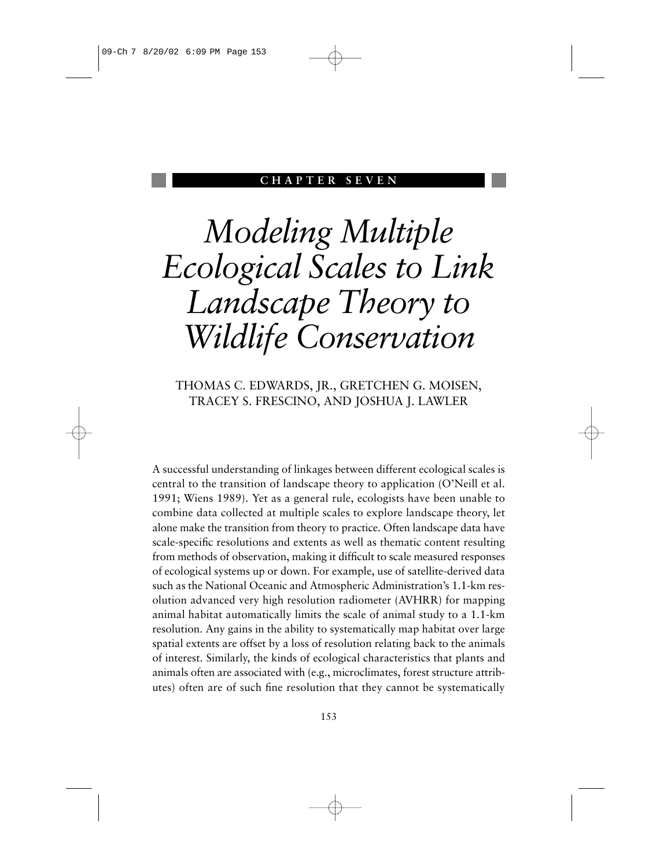### **CHAPTER SEVEN**

# *Modeling Multiple Ecological Scales to Link Landscape Theory to Wildlife Conservation*

THOMAS C. EDWARDS, JR., GRETCHEN G. MOISEN, TRACEY S. FRESCINO, AND JOSHUA J. LAWLER

A successful understanding of linkages between different ecological scales is central to the transition of landscape theory to application (O'Neill et al. 1991; Wiens 1989). Yet as a general rule, ecologists have been unable to combine data collected at multiple scales to explore landscape theory, let alone make the transition from theory to practice. Often landscape data have scale-specific resolutions and extents as well as thematic content resulting from methods of observation, making it difficult to scale measured responses of ecological systems up or down. For example, use of satellite-derived data such as the National Oceanic and Atmospheric Administration's 1.1-km resolution advanced very high resolution radiometer (AVHRR) for mapping animal habitat automatically limits the scale of animal study to a 1.1-km resolution. Any gains in the ability to systematically map habitat over large spatial extents are offset by a loss of resolution relating back to the animals of interest. Similarly, the kinds of ecological characteristics that plants and animals often are associated with (e.g., microclimates, forest structure attributes) often are of such fine resolution that they cannot be systematically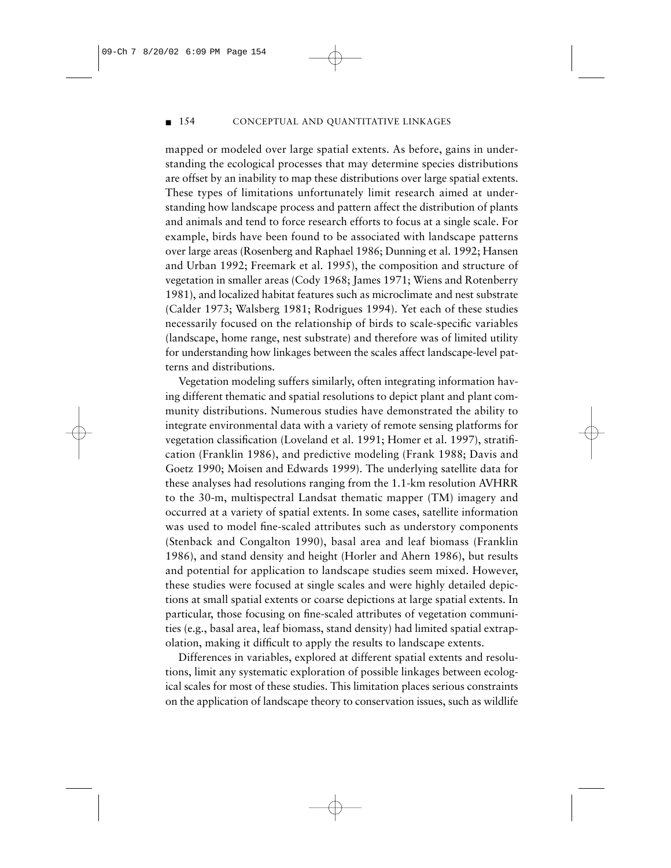#### ■ 154 CONCEPTUAL AND QUANTITATIVE LINKAGES

mapped or modeled over large spatial extents. As before, gains in understanding the ecological processes that may determine species distributions are offset by an inability to map these distributions over large spatial extents. These types of limitations unfortunately limit research aimed at understanding how landscape process and pattern affect the distribution of plants and animals and tend to force research efforts to focus at a single scale. For example, birds have been found to be associated with landscape patterns over large areas (Rosenberg and Raphael 1986; Dunning et al. 1992; Hansen and Urban 1992; Freemark et al. 1995), the composition and structure of vegetation in smaller areas (Cody 1968; James 1971; Wiens and Rotenberry 1981), and localized habitat features such as microclimate and nest substrate (Calder 1973; Walsberg 1981; Rodrigues 1994). Yet each of these studies necessarily focused on the relationship of birds to scale-specific variables (landscape, home range, nest substrate) and therefore was of limited utility for understanding how linkages between the scales affect landscape-level patterns and distributions.

Vegetation modeling suffers similarly, often integrating information having different thematic and spatial resolutions to depict plant and plant community distributions. Numerous studies have demonstrated the ability to integrate environmental data with a variety of remote sensing platforms for vegetation classification (Loveland et al. 1991; Homer et al. 1997), stratification (Franklin 1986), and predictive modeling (Frank 1988; Davis and Goetz 1990; Moisen and Edwards 1999). The underlying satellite data for these analyses had resolutions ranging from the 1.1-km resolution AVHRR to the 30-m, multispectral Landsat thematic mapper (TM) imagery and occurred at a variety of spatial extents. In some cases, satellite information was used to model fine-scaled attributes such as understory components (Stenback and Congalton 1990), basal area and leaf biomass (Franklin 1986), and stand density and height (Horler and Ahern 1986), but results and potential for application to landscape studies seem mixed. However, these studies were focused at single scales and were highly detailed depictions at small spatial extents or coarse depictions at large spatial extents. In particular, those focusing on fine-scaled attributes of vegetation communities (e.g., basal area, leaf biomass, stand density) had limited spatial extrapolation, making it difficult to apply the results to landscape extents.

Differences in variables, explored at different spatial extents and resolutions, limit any systematic exploration of possible linkages between ecological scales for most of these studies. This limitation places serious constraints on the application of landscape theory to conservation issues, such as wildlife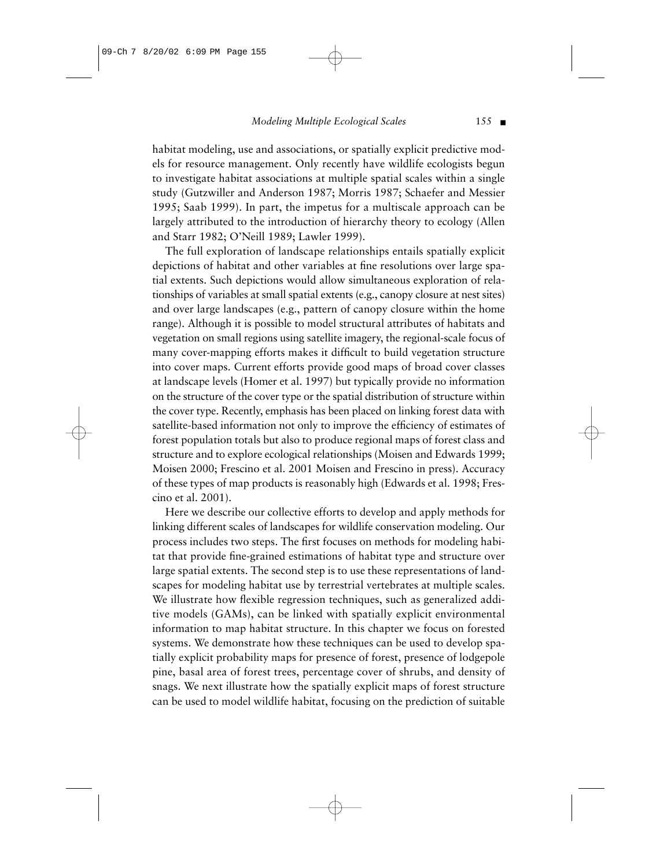habitat modeling, use and associations, or spatially explicit predictive models for resource management. Only recently have wildlife ecologists begun to investigate habitat associations at multiple spatial scales within a single study (Gutzwiller and Anderson 1987; Morris 1987; Schaefer and Messier 1995; Saab 1999). In part, the impetus for a multiscale approach can be largely attributed to the introduction of hierarchy theory to ecology (Allen and Starr 1982; O'Neill 1989; Lawler 1999).

The full exploration of landscape relationships entails spatially explicit depictions of habitat and other variables at fine resolutions over large spatial extents. Such depictions would allow simultaneous exploration of relationships of variables at small spatial extents (e.g., canopy closure at nest sites) and over large landscapes (e.g., pattern of canopy closure within the home range). Although it is possible to model structural attributes of habitats and vegetation on small regions using satellite imagery, the regional-scale focus of many cover-mapping efforts makes it difficult to build vegetation structure into cover maps. Current efforts provide good maps of broad cover classes at landscape levels (Homer et al. 1997) but typically provide no information on the structure of the cover type or the spatial distribution of structure within the cover type. Recently, emphasis has been placed on linking forest data with satellite-based information not only to improve the efficiency of estimates of forest population totals but also to produce regional maps of forest class and structure and to explore ecological relationships (Moisen and Edwards 1999; Moisen 2000; Frescino et al. 2001 Moisen and Frescino in press). Accuracy of these types of map products is reasonably high (Edwards et al. 1998; Frescino et al. 2001).

Here we describe our collective efforts to develop and apply methods for linking different scales of landscapes for wildlife conservation modeling. Our process includes two steps. The first focuses on methods for modeling habitat that provide fine-grained estimations of habitat type and structure over large spatial extents. The second step is to use these representations of landscapes for modeling habitat use by terrestrial vertebrates at multiple scales. We illustrate how flexible regression techniques, such as generalized additive models (GAMs), can be linked with spatially explicit environmental information to map habitat structure. In this chapter we focus on forested systems. We demonstrate how these techniques can be used to develop spatially explicit probability maps for presence of forest, presence of lodgepole pine, basal area of forest trees, percentage cover of shrubs, and density of snags. We next illustrate how the spatially explicit maps of forest structure can be used to model wildlife habitat, focusing on the prediction of suitable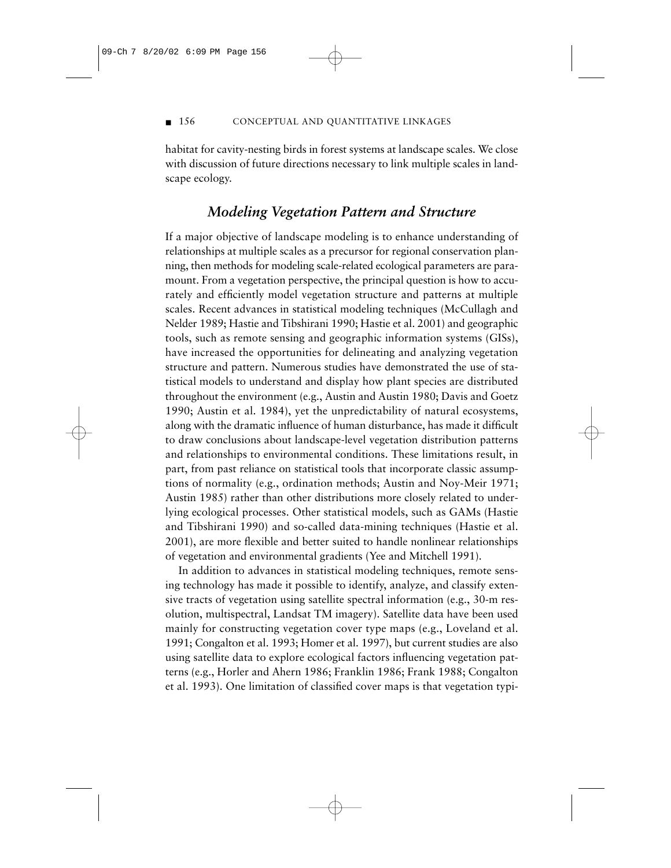#### ■ 156 CONCEPTUAL AND QUANTITATIVE LINKAGES

habitat for cavity-nesting birds in forest systems at landscape scales. We close with discussion of future directions necessary to link multiple scales in landscape ecology.

# *Modeling Vegetation Pattern and Structure*

If a major objective of landscape modeling is to enhance understanding of relationships at multiple scales as a precursor for regional conservation planning, then methods for modeling scale-related ecological parameters are paramount. From a vegetation perspective, the principal question is how to accurately and efficiently model vegetation structure and patterns at multiple scales. Recent advances in statistical modeling techniques (McCullagh and Nelder 1989; Hastie and Tibshirani 1990; Hastie et al. 2001) and geographic tools, such as remote sensing and geographic information systems (GISs), have increased the opportunities for delineating and analyzing vegetation structure and pattern. Numerous studies have demonstrated the use of statistical models to understand and display how plant species are distributed throughout the environment (e.g., Austin and Austin 1980; Davis and Goetz 1990; Austin et al. 1984), yet the unpredictability of natural ecosystems, along with the dramatic influence of human disturbance, has made it difficult to draw conclusions about landscape-level vegetation distribution patterns and relationships to environmental conditions. These limitations result, in part, from past reliance on statistical tools that incorporate classic assumptions of normality (e.g., ordination methods; Austin and Noy-Meir 1971; Austin 1985) rather than other distributions more closely related to underlying ecological processes. Other statistical models, such as GAMs (Hastie and Tibshirani 1990) and so-called data-mining techniques (Hastie et al. 2001), are more flexible and better suited to handle nonlinear relationships of vegetation and environmental gradients (Yee and Mitchell 1991).

In addition to advances in statistical modeling techniques, remote sensing technology has made it possible to identify, analyze, and classify extensive tracts of vegetation using satellite spectral information (e.g., 30-m resolution, multispectral, Landsat TM imagery). Satellite data have been used mainly for constructing vegetation cover type maps (e.g., Loveland et al. 1991; Congalton et al. 1993; Homer et al. 1997), but current studies are also using satellite data to explore ecological factors influencing vegetation patterns (e.g., Horler and Ahern 1986; Franklin 1986; Frank 1988; Congalton et al. 1993). One limitation of classified cover maps is that vegetation typi-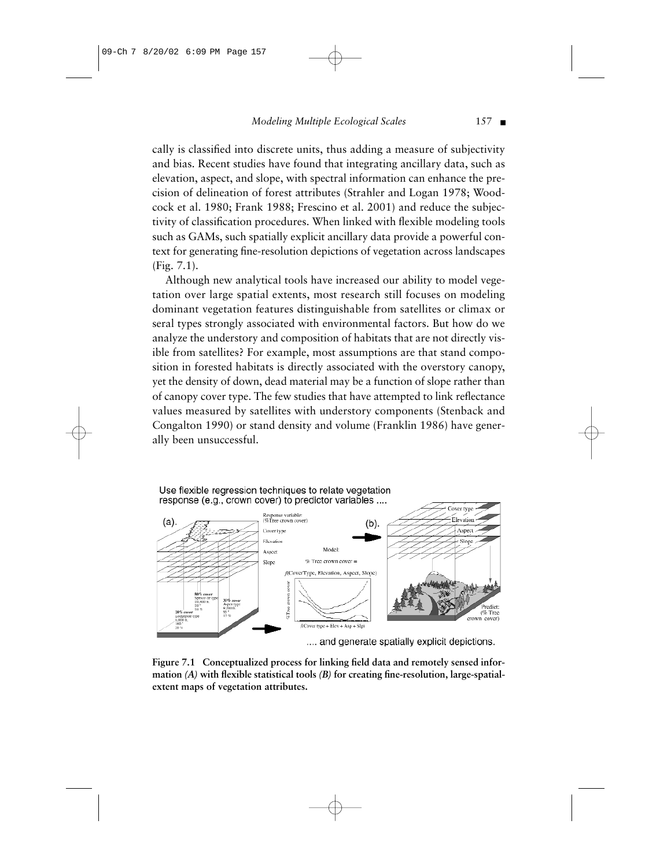#### *Modeling Multiple Ecological Scales* 157 ■

cally is classified into discrete units, thus adding a measure of subjectivity and bias. Recent studies have found that integrating ancillary data, such as elevation, aspect, and slope, with spectral information can enhance the precision of delineation of forest attributes (Strahler and Logan 1978; Woodcock et al. 1980; Frank 1988; Frescino et al. 2001) and reduce the subjectivity of classification procedures. When linked with flexible modeling tools such as GAMs, such spatially explicit ancillary data provide a powerful context for generating fine-resolution depictions of vegetation across landscapes (Fig. 7.1).

Although new analytical tools have increased our ability to model vegetation over large spatial extents, most research still focuses on modeling dominant vegetation features distinguishable from satellites or climax or seral types strongly associated with environmental factors. But how do we analyze the understory and composition of habitats that are not directly visible from satellites? For example, most assumptions are that stand composition in forested habitats is directly associated with the overstory canopy, yet the density of down, dead material may be a function of slope rather than of canopy cover type. The few studies that have attempted to link reflectance values measured by satellites with understory components (Stenback and Congalton 1990) or stand density and volume (Franklin 1986) have generally been unsuccessful.

#### Use flexible regression techniques to relate vegetation response (e.g., crown cover) to predictor variables ....



**Figure 7.1 Conceptualized process for linking field data and remotely sensed information** *(A)* **with flexible statistical tools** *(B)* **for creating fine-resolution, large-spatialextent maps of vegetation attributes.**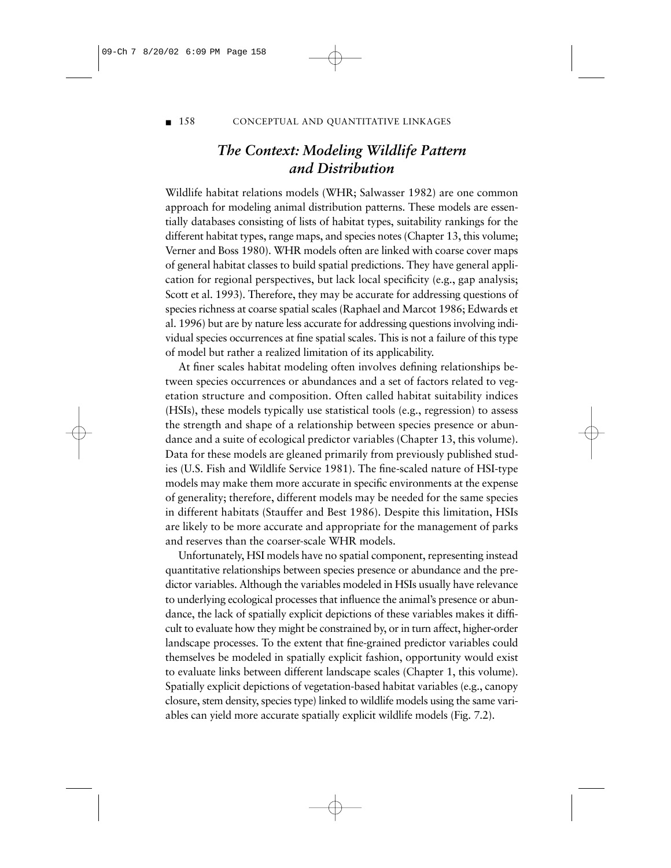■ 158 CONCEPTUAL AND QUANTITATIVE LINKAGES

# *The Context: Modeling Wildlife Pattern and Distribution*

Wildlife habitat relations models (WHR; Salwasser 1982) are one common approach for modeling animal distribution patterns. These models are essentially databases consisting of lists of habitat types, suitability rankings for the different habitat types, range maps, and species notes (Chapter 13, this volume; Verner and Boss 1980). WHR models often are linked with coarse cover maps of general habitat classes to build spatial predictions. They have general application for regional perspectives, but lack local specificity (e.g., gap analysis; Scott et al. 1993). Therefore, they may be accurate for addressing questions of species richness at coarse spatial scales (Raphael and Marcot 1986; Edwards et al. 1996) but are by nature less accurate for addressing questions involving individual species occurrences at fine spatial scales. This is not a failure of this type of model but rather a realized limitation of its applicability.

At finer scales habitat modeling often involves defining relationships between species occurrences or abundances and a set of factors related to vegetation structure and composition. Often called habitat suitability indices (HSIs), these models typically use statistical tools (e.g., regression) to assess the strength and shape of a relationship between species presence or abundance and a suite of ecological predictor variables (Chapter 13, this volume). Data for these models are gleaned primarily from previously published studies (U.S. Fish and Wildlife Service 1981). The fine-scaled nature of HSI-type models may make them more accurate in specific environments at the expense of generality; therefore, different models may be needed for the same species in different habitats (Stauffer and Best 1986). Despite this limitation, HSIs are likely to be more accurate and appropriate for the management of parks and reserves than the coarser-scale WHR models.

Unfortunately, HSI models have no spatial component, representing instead quantitative relationships between species presence or abundance and the predictor variables. Although the variables modeled in HSIs usually have relevance to underlying ecological processes that influence the animal's presence or abundance, the lack of spatially explicit depictions of these variables makes it difficult to evaluate how they might be constrained by, or in turn affect, higher-order landscape processes. To the extent that fine-grained predictor variables could themselves be modeled in spatially explicit fashion, opportunity would exist to evaluate links between different landscape scales (Chapter 1, this volume). Spatially explicit depictions of vegetation-based habitat variables (e.g., canopy closure, stem density, species type) linked to wildlife models using the same variables can yield more accurate spatially explicit wildlife models (Fig. 7.2).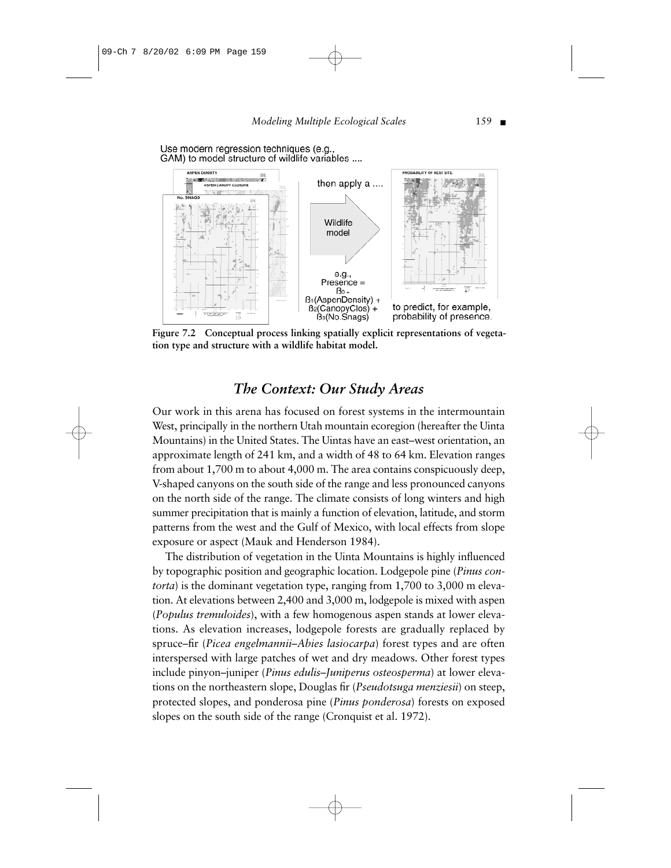#### *Modeling Multiple Ecological Scales* 159 ■

Use modern regression techniques (e.g. GAM) to model structure of wildlife variables ....



**Figure 7.2 Conceptual process linking spatially explicit representations of vegetation type and structure with a wildlife habitat model.**

# *The Context: Our Study Areas*

Our work in this arena has focused on forest systems in the intermountain West, principally in the northern Utah mountain ecoregion (hereafter the Uinta Mountains) in the United States. The Uintas have an east–west orientation, an approximate length of 241 km, and a width of 48 to 64 km. Elevation ranges from about 1,700 m to about 4,000 m. The area contains conspicuously deep, V-shaped canyons on the south side of the range and less pronounced canyons on the north side of the range. The climate consists of long winters and high summer precipitation that is mainly a function of elevation, latitude, and storm patterns from the west and the Gulf of Mexico, with local effects from slope exposure or aspect (Mauk and Henderson 1984).

The distribution of vegetation in the Uinta Mountains is highly influenced by topographic position and geographic location. Lodgepole pine (*Pinus contorta*) is the dominant vegetation type, ranging from 1,700 to 3,000 m elevation. At elevations between 2,400 and 3,000 m, lodgepole is mixed with aspen (*Populus tremuloides*), with a few homogenous aspen stands at lower elevations. As elevation increases, lodgepole forests are gradually replaced by spruce–fir (*Picea engelmannii–Abies lasiocarpa*) forest types and are often interspersed with large patches of wet and dry meadows. Other forest types include pinyon–juniper (*Pinus edulis–Juniperus osteosperma*) at lower elevations on the northeastern slope, Douglas fir (*Pseudotsuga menziesii*) on steep, protected slopes, and ponderosa pine (*Pinus ponderosa*) forests on exposed slopes on the south side of the range (Cronquist et al. 1972).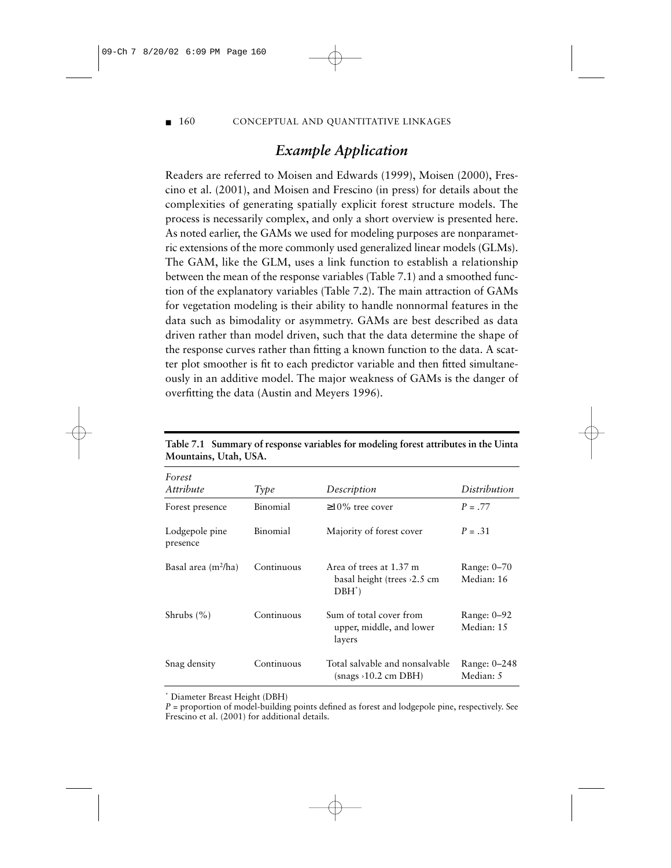#### ■ 160 CONCEPTUAL AND QUANTITATIVE LINKAGES

# *Example Application*

Readers are referred to Moisen and Edwards (1999), Moisen (2000), Frescino et al. (2001), and Moisen and Frescino (in press) for details about the complexities of generating spatially explicit forest structure models. The process is necessarily complex, and only a short overview is presented here. As noted earlier, the GAMs we used for modeling purposes are nonparametric extensions of the more commonly used generalized linear models (GLMs). The GAM, like the GLM, uses a link function to establish a relationship between the mean of the response variables (Table 7.1) and a smoothed function of the explanatory variables (Table 7.2). The main attraction of GAMs for vegetation modeling is their ability to handle nonnormal features in the data such as bimodality or asymmetry. GAMs are best described as data driven rather than model driven, such that the data determine the shape of the response curves rather than fitting a known function to the data. A scatter plot smoother is fit to each predictor variable and then fitted simultaneously in an additive model. The major weakness of GAMs is the danger of overfitting the data (Austin and Meyers 1996).

| Forest<br>Attribute        | Type       | Description                                                            | Distribution                |
|----------------------------|------------|------------------------------------------------------------------------|-----------------------------|
|                            |            |                                                                        |                             |
| Forest presence            | Binomial   | $\geq$ 10% tree cover                                                  | $P = .77$                   |
| Lodgepole pine<br>presence | Binomial   | Majority of forest cover                                               | $P = .31$                   |
| Basal area $(m^2/ha)$      | Continuous | Area of trees at 1.37 m<br>basal height (trees $\ge$ 2.5 cm<br>$DBH^*$ | Range: 0-70<br>Median: 16   |
| Shrubs $(\% )$             | Continuous | Sum of total cover from<br>upper, middle, and lower<br>layers          | Range: $0-92$<br>Median: 15 |
| Snag density               | Continuous | Total salvable and nonsalvable<br>snags > 10.2 cm DBH)                 | Range: 0-248<br>Median: 5   |

**Table 7.1 Summary of response variables for modeling forest attributes in the Uinta Mountains, Utah, USA.**

\* Diameter Breast Height (DBH)

*P* = proportion of model-building points defined as forest and lodgepole pine, respectively. See Frescino et al. (2001) for additional details.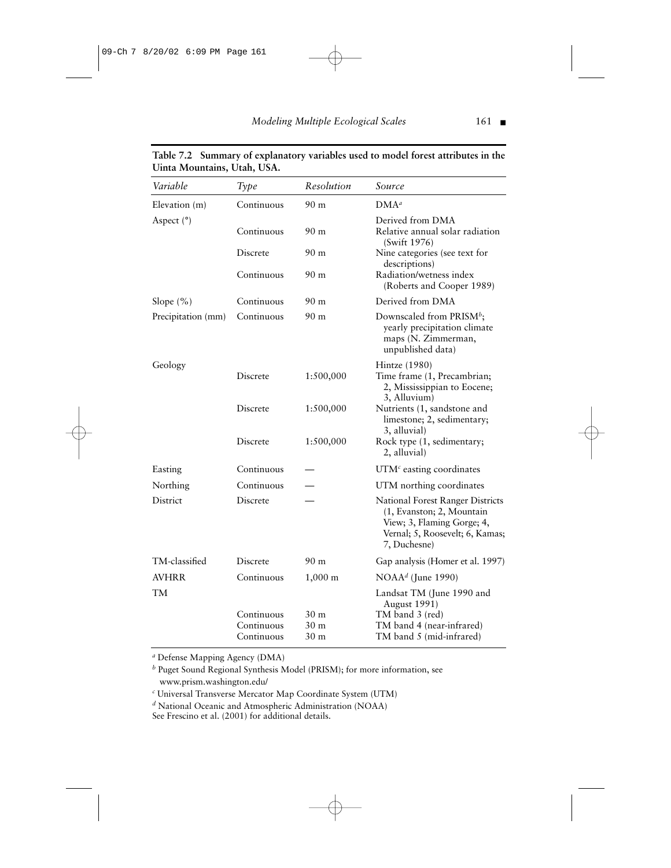*Modeling Multiple Ecological Scales* 161 ■

| Variable           | Type                     | Resolution            | Source                                                                                                                                         |
|--------------------|--------------------------|-----------------------|------------------------------------------------------------------------------------------------------------------------------------------------|
| Elevation (m)      | Continuous               | 90 <sub>m</sub>       | $DMA^a$                                                                                                                                        |
| Aspect $(°)$       | Continuous               | 90 <sub>m</sub>       | Derived from DMA<br>Relative annual solar radiation<br>(Swift 1976)                                                                            |
|                    | Discrete                 | 90 <sub>m</sub>       | Nine categories (see text for<br>descriptions)                                                                                                 |
|                    | Continuous               | 90 m                  | Radiation/wetness index<br>(Roberts and Cooper 1989)                                                                                           |
| Slope $(\% )$      | Continuous               | 90 <sub>m</sub>       | Derived from DMA                                                                                                                               |
| Precipitation (mm) | Continuous               | 90 m                  | Downscaled from PRISM <sup>b</sup> ;<br>yearly precipitation climate<br>maps (N. Zimmerman,<br>unpublished data)                               |
| Geology            | Discrete                 | 1:500,000             | Hintze (1980)<br>Time frame (1, Precambrian;<br>2, Mississippian to Eocene;<br>3, Alluvium)                                                    |
|                    | Discrete                 | 1:500,000             | Nutrients (1, sandstone and<br>limestone; 2, sedimentary;<br>3, alluvial)                                                                      |
|                    | Discrete                 | 1:500,000             | Rock type (1, sedimentary;<br>2, alluvial)                                                                                                     |
| Easting            | Continuous               |                       | UTM $\epsilon$ easting coordinates                                                                                                             |
| Northing           | Continuous               |                       | UTM northing coordinates                                                                                                                       |
| District           | Discrete                 |                       | National Forest Ranger Districts<br>(1, Evanston; 2, Mountain<br>View; 3, Flaming Gorge; 4,<br>Vernal; 5, Roosevelt; 6, Kamas;<br>7, Duchesne) |
| TM-classified      | Discrete                 | 90 <sub>m</sub>       | Gap analysis (Homer et al. 1997)                                                                                                               |
| AVHRR              | Continuous               | $1,000 \; \mathrm{m}$ | NOAA <sup>d</sup> (June 1990)                                                                                                                  |
| TМ                 |                          |                       | Landsat TM (June 1990 and<br><b>August 1991)</b>                                                                                               |
|                    | Continuous               | 30 m                  | TM band 3 (red)                                                                                                                                |
|                    | Continuous<br>Continuous | 30 m<br>30 m          | TM band 4 (near-infrared)<br>TM band 5 (mid-infrared)                                                                                          |

**Table 7.2 Summary of explanatory variables used to model forest attributes in the Uinta Mountains, Utah, USA.**

*<sup>a</sup>* Defense Mapping Agency (DMA)

*<sup>b</sup>* Puget Sound Regional Synthesis Model (PRISM); for more information, see www.prism.washington.edu/

*<sup>c</sup>* Universal Transverse Mercator Map Coordinate System (UTM)

*<sup>d</sup>* National Oceanic and Atmospheric Administration (NOAA)

See Frescino et al. (2001) for additional details.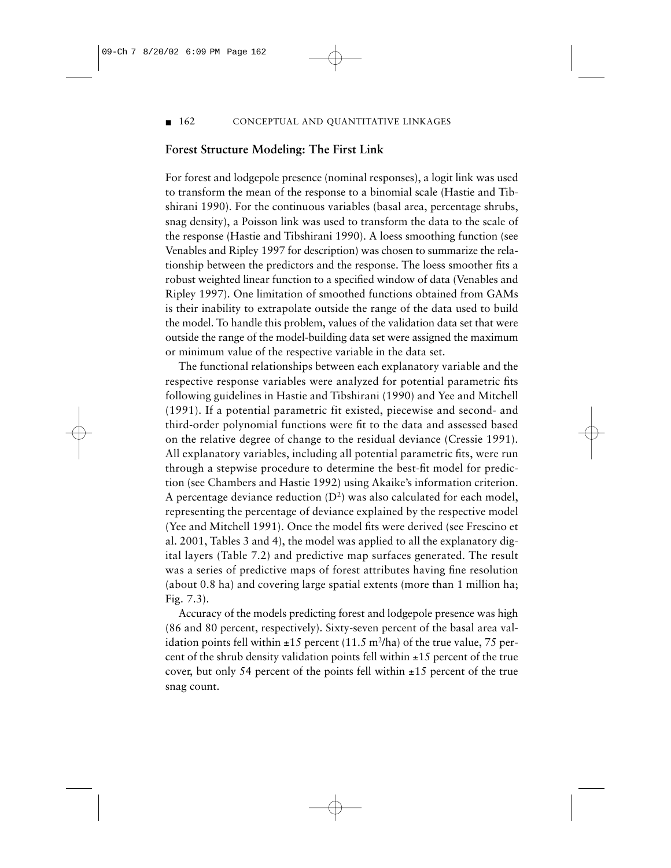#### ■ 162 CONCEPTUAL AND QUANTITATIVE LINKAGES

#### **Forest Structure Modeling: The First Link**

For forest and lodgepole presence (nominal responses), a logit link was used to transform the mean of the response to a binomial scale (Hastie and Tibshirani 1990). For the continuous variables (basal area, percentage shrubs, snag density), a Poisson link was used to transform the data to the scale of the response (Hastie and Tibshirani 1990). A loess smoothing function (see Venables and Ripley 1997 for description) was chosen to summarize the relationship between the predictors and the response. The loess smoother fits a robust weighted linear function to a specified window of data (Venables and Ripley 1997). One limitation of smoothed functions obtained from GAMs is their inability to extrapolate outside the range of the data used to build the model. To handle this problem, values of the validation data set that were outside the range of the model-building data set were assigned the maximum or minimum value of the respective variable in the data set.

The functional relationships between each explanatory variable and the respective response variables were analyzed for potential parametric fits following guidelines in Hastie and Tibshirani (1990) and Yee and Mitchell (1991). If a potential parametric fit existed, piecewise and second- and third-order polynomial functions were fit to the data and assessed based on the relative degree of change to the residual deviance (Cressie 1991). All explanatory variables, including all potential parametric fits, were run through a stepwise procedure to determine the best-fit model for prediction (see Chambers and Hastie 1992) using Akaike's information criterion. A percentage deviance reduction  $(D^2)$  was also calculated for each model, representing the percentage of deviance explained by the respective model (Yee and Mitchell 1991). Once the model fits were derived (see Frescino et al. 2001, Tables 3 and 4), the model was applied to all the explanatory digital layers (Table 7.2) and predictive map surfaces generated. The result was a series of predictive maps of forest attributes having fine resolution (about 0.8 ha) and covering large spatial extents (more than 1 million ha; Fig. 7.3).

Accuracy of the models predicting forest and lodgepole presence was high (86 and 80 percent, respectively). Sixty-seven percent of the basal area validation points fell within  $\pm 15$  percent (11.5 m<sup>2</sup>/ha) of the true value, 75 percent of the shrub density validation points fell within  $\pm 15$  percent of the true cover, but only 54 percent of the points fell within  $\pm 15$  percent of the true snag count.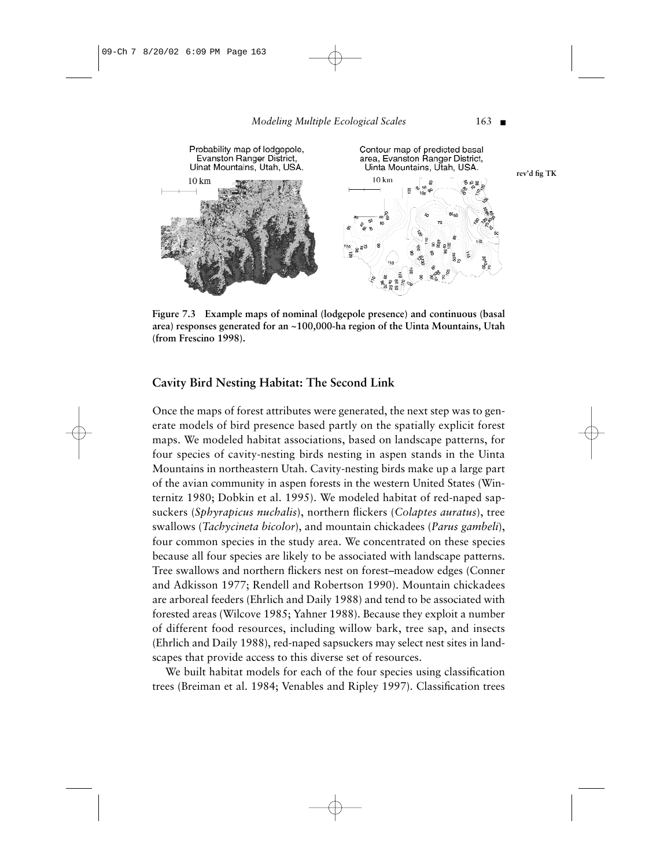

**Figure 7.3 Example maps of nominal (lodgepole presence) and continuous (basal area) responses generated for an ~100,000-ha region of the Uinta Mountains, Utah (from Frescino 1998).**

#### **Cavity Bird Nesting Habitat: The Second Link**

Once the maps of forest attributes were generated, the next step was to generate models of bird presence based partly on the spatially explicit forest maps. We modeled habitat associations, based on landscape patterns, for four species of cavity-nesting birds nesting in aspen stands in the Uinta Mountains in northeastern Utah. Cavity-nesting birds make up a large part of the avian community in aspen forests in the western United States (Winternitz 1980; Dobkin et al. 1995). We modeled habitat of red-naped sapsuckers (*Sphyrapicus nuchalis*), northern flickers (*Colaptes auratus*), tree swallows (*Tachycineta bicolor*), and mountain chickadees (*Parus gambeli*), four common species in the study area. We concentrated on these species because all four species are likely to be associated with landscape patterns. Tree swallows and northern flickers nest on forest–meadow edges (Conner and Adkisson 1977; Rendell and Robertson 1990). Mountain chickadees are arboreal feeders (Ehrlich and Daily 1988) and tend to be associated with forested areas (Wilcove 1985; Yahner 1988). Because they exploit a number of different food resources, including willow bark, tree sap, and insects (Ehrlich and Daily 1988), red-naped sapsuckers may select nest sites in landscapes that provide access to this diverse set of resources.

We built habitat models for each of the four species using classification trees (Breiman et al. 1984; Venables and Ripley 1997). Classification trees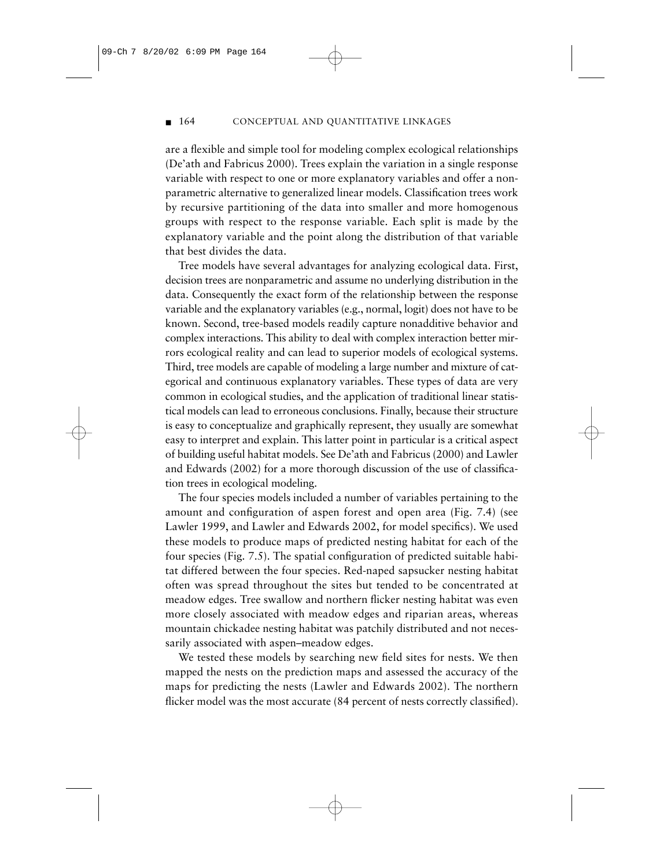#### ■ 164 CONCEPTUAL AND QUANTITATIVE LINKAGES

are a flexible and simple tool for modeling complex ecological relationships (De'ath and Fabricus 2000). Trees explain the variation in a single response variable with respect to one or more explanatory variables and offer a nonparametric alternative to generalized linear models. Classification trees work by recursive partitioning of the data into smaller and more homogenous groups with respect to the response variable. Each split is made by the explanatory variable and the point along the distribution of that variable that best divides the data.

Tree models have several advantages for analyzing ecological data. First, decision trees are nonparametric and assume no underlying distribution in the data. Consequently the exact form of the relationship between the response variable and the explanatory variables (e.g., normal, logit) does not have to be known. Second, tree-based models readily capture nonadditive behavior and complex interactions. This ability to deal with complex interaction better mirrors ecological reality and can lead to superior models of ecological systems. Third, tree models are capable of modeling a large number and mixture of categorical and continuous explanatory variables. These types of data are very common in ecological studies, and the application of traditional linear statistical models can lead to erroneous conclusions. Finally, because their structure is easy to conceptualize and graphically represent, they usually are somewhat easy to interpret and explain. This latter point in particular is a critical aspect of building useful habitat models. See De'ath and Fabricus (2000) and Lawler and Edwards (2002) for a more thorough discussion of the use of classification trees in ecological modeling.

The four species models included a number of variables pertaining to the amount and configuration of aspen forest and open area (Fig. 7.4) (see Lawler 1999, and Lawler and Edwards 2002, for model specifics). We used these models to produce maps of predicted nesting habitat for each of the four species (Fig. 7.5). The spatial configuration of predicted suitable habitat differed between the four species. Red-naped sapsucker nesting habitat often was spread throughout the sites but tended to be concentrated at meadow edges. Tree swallow and northern flicker nesting habitat was even more closely associated with meadow edges and riparian areas, whereas mountain chickadee nesting habitat was patchily distributed and not necessarily associated with aspen–meadow edges.

We tested these models by searching new field sites for nests. We then mapped the nests on the prediction maps and assessed the accuracy of the maps for predicting the nests (Lawler and Edwards 2002). The northern flicker model was the most accurate (84 percent of nests correctly classified).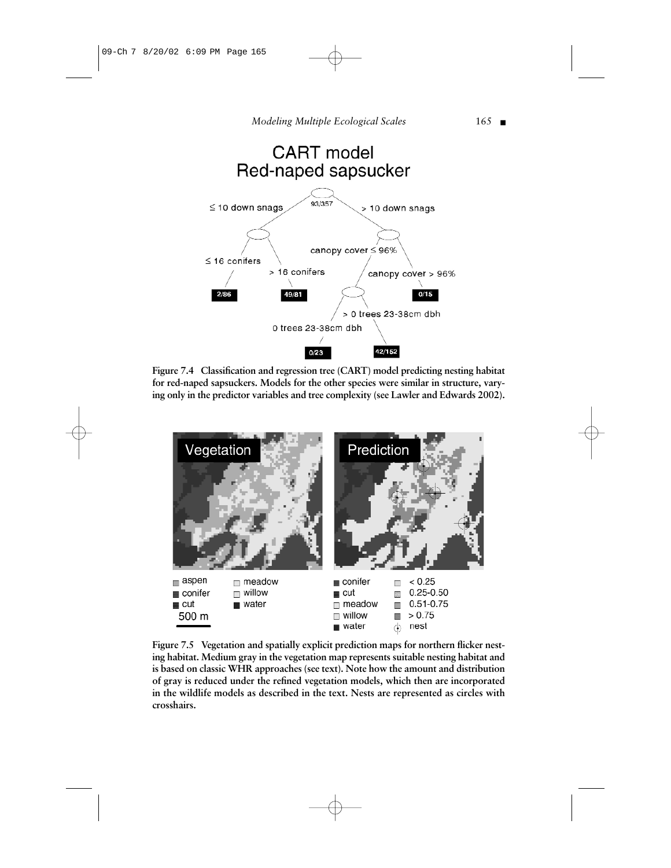

**Figure 7.4 Classification and regression tree (CART) model predicting nesting habitat for red-naped sapsuckers. Models for the other species were similar in structure, varying only in the predictor variables and tree complexity (see Lawler and Edwards 2002).**



**Figure 7.5 Vegetation and spatially explicit prediction maps for northern flicker nesting habitat. Medium gray in the vegetation map represents suitable nesting habitat and is based on classic WHR approaches (see text). Note how the amount and distribution of gray is reduced under the refined vegetation models, which then are incorporated in the wildlife models as described in the text. Nests are represented as circles with crosshairs.**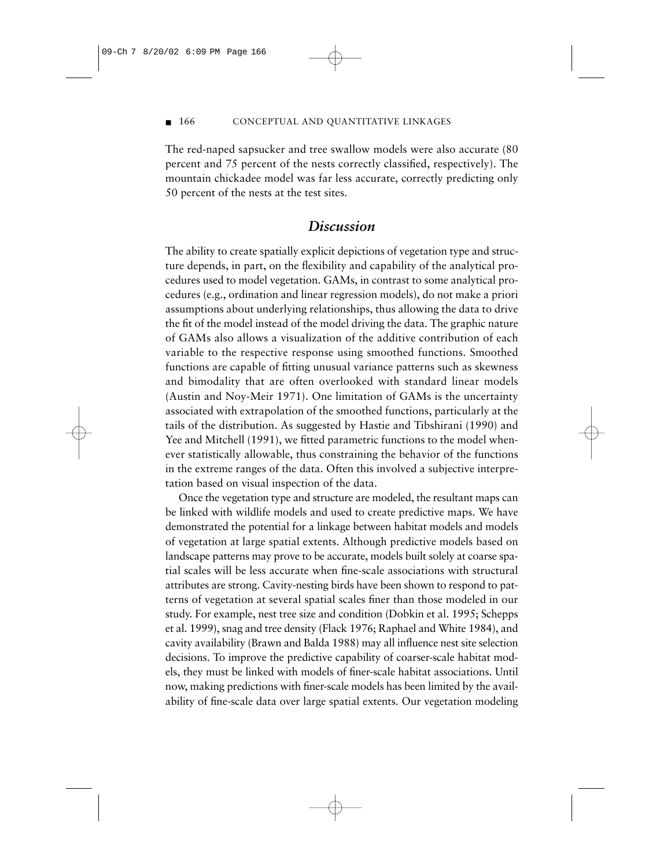#### ■ 166 CONCEPTUAL AND QUANTITATIVE LINKAGES

The red-naped sapsucker and tree swallow models were also accurate (80 percent and 75 percent of the nests correctly classified, respectively). The mountain chickadee model was far less accurate, correctly predicting only 50 percent of the nests at the test sites.

## *Discussion*

The ability to create spatially explicit depictions of vegetation type and structure depends, in part, on the flexibility and capability of the analytical procedures used to model vegetation. GAMs, in contrast to some analytical procedures (e.g., ordination and linear regression models), do not make a priori assumptions about underlying relationships, thus allowing the data to drive the fit of the model instead of the model driving the data. The graphic nature of GAMs also allows a visualization of the additive contribution of each variable to the respective response using smoothed functions. Smoothed functions are capable of fitting unusual variance patterns such as skewness and bimodality that are often overlooked with standard linear models (Austin and Noy-Meir 1971). One limitation of GAMs is the uncertainty associated with extrapolation of the smoothed functions, particularly at the tails of the distribution. As suggested by Hastie and Tibshirani (1990) and Yee and Mitchell (1991), we fitted parametric functions to the model whenever statistically allowable, thus constraining the behavior of the functions in the extreme ranges of the data. Often this involved a subjective interpretation based on visual inspection of the data.

Once the vegetation type and structure are modeled, the resultant maps can be linked with wildlife models and used to create predictive maps. We have demonstrated the potential for a linkage between habitat models and models of vegetation at large spatial extents. Although predictive models based on landscape patterns may prove to be accurate, models built solely at coarse spatial scales will be less accurate when fine-scale associations with structural attributes are strong. Cavity-nesting birds have been shown to respond to patterns of vegetation at several spatial scales finer than those modeled in our study. For example, nest tree size and condition (Dobkin et al. 1995; Schepps et al. 1999), snag and tree density (Flack 1976; Raphael and White 1984), and cavity availability (Brawn and Balda 1988) may all influence nest site selection decisions. To improve the predictive capability of coarser-scale habitat models, they must be linked with models of finer-scale habitat associations. Until now, making predictions with finer-scale models has been limited by the availability of fine-scale data over large spatial extents. Our vegetation modeling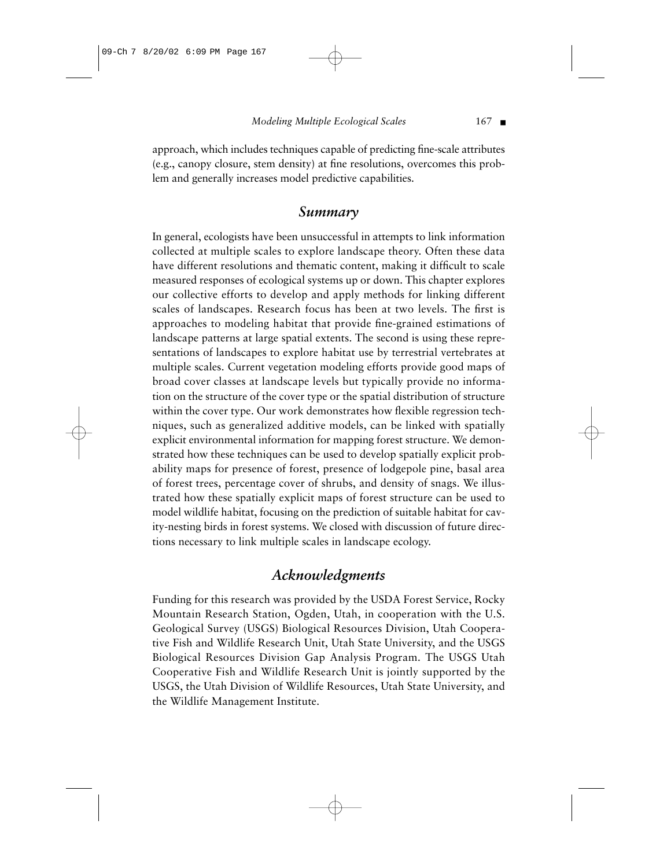*Modeling Multiple Ecological Scales* 167 ■

approach, which includes techniques capable of predicting fine-scale attributes (e.g., canopy closure, stem density) at fine resolutions, overcomes this problem and generally increases model predictive capabilities.

# *Summary*

In general, ecologists have been unsuccessful in attempts to link information collected at multiple scales to explore landscape theory. Often these data have different resolutions and thematic content, making it difficult to scale measured responses of ecological systems up or down. This chapter explores our collective efforts to develop and apply methods for linking different scales of landscapes. Research focus has been at two levels. The first is approaches to modeling habitat that provide fine-grained estimations of landscape patterns at large spatial extents. The second is using these representations of landscapes to explore habitat use by terrestrial vertebrates at multiple scales. Current vegetation modeling efforts provide good maps of broad cover classes at landscape levels but typically provide no information on the structure of the cover type or the spatial distribution of structure within the cover type. Our work demonstrates how flexible regression techniques, such as generalized additive models, can be linked with spatially explicit environmental information for mapping forest structure. We demonstrated how these techniques can be used to develop spatially explicit probability maps for presence of forest, presence of lodgepole pine, basal area of forest trees, percentage cover of shrubs, and density of snags. We illustrated how these spatially explicit maps of forest structure can be used to model wildlife habitat, focusing on the prediction of suitable habitat for cavity-nesting birds in forest systems. We closed with discussion of future directions necessary to link multiple scales in landscape ecology.

# *Acknowledgments*

Funding for this research was provided by the USDA Forest Service, Rocky Mountain Research Station, Ogden, Utah, in cooperation with the U.S. Geological Survey (USGS) Biological Resources Division, Utah Cooperative Fish and Wildlife Research Unit, Utah State University, and the USGS Biological Resources Division Gap Analysis Program. The USGS Utah Cooperative Fish and Wildlife Research Unit is jointly supported by the USGS, the Utah Division of Wildlife Resources, Utah State University, and the Wildlife Management Institute.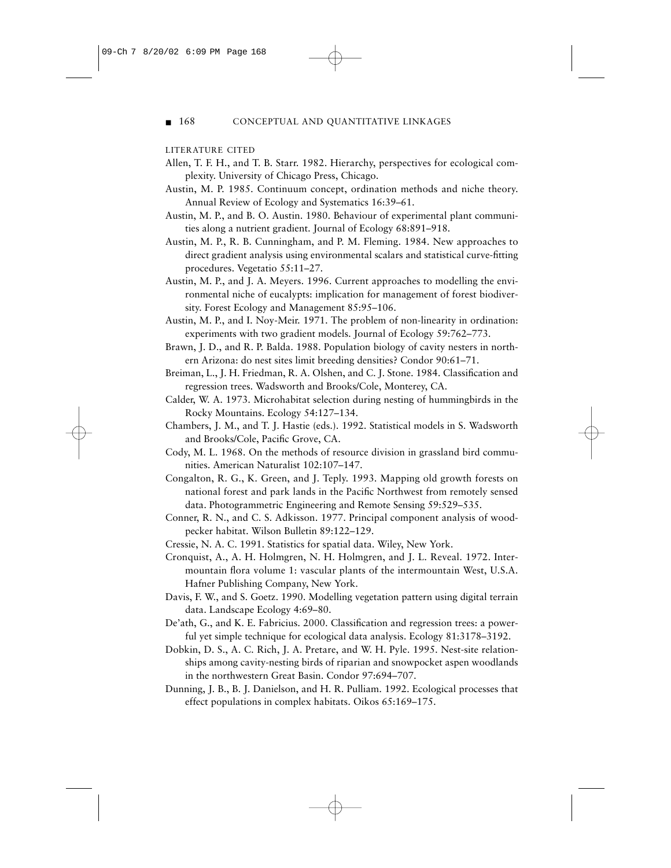#### ■ 168 CONCEPTUAL AND QUANTITATIVE LINKAGES

#### LITERATURE CITED

- Allen, T. F. H., and T. B. Starr. 1982. Hierarchy, perspectives for ecological complexity. University of Chicago Press, Chicago.
- Austin, M. P. 1985. Continuum concept, ordination methods and niche theory. Annual Review of Ecology and Systematics 16:39–61.
- Austin, M. P., and B. O. Austin. 1980. Behaviour of experimental plant communities along a nutrient gradient. Journal of Ecology 68:891–918.
- Austin, M. P., R. B. Cunningham, and P. M. Fleming. 1984. New approaches to direct gradient analysis using environmental scalars and statistical curve-fitting procedures. Vegetatio 55:11–27.
- Austin, M. P., and J. A. Meyers. 1996. Current approaches to modelling the environmental niche of eucalypts: implication for management of forest biodiversity. Forest Ecology and Management 85:95–106.
- Austin, M. P., and I. Noy-Meir. 1971. The problem of non-linearity in ordination: experiments with two gradient models. Journal of Ecology 59:762–773.
- Brawn, J. D., and R. P. Balda. 1988. Population biology of cavity nesters in northern Arizona: do nest sites limit breeding densities? Condor 90:61–71.
- Breiman, L., J. H. Friedman, R. A. Olshen, and C. J. Stone. 1984. Classification and regression trees. Wadsworth and Brooks/Cole, Monterey, CA.
- Calder, W. A. 1973. Microhabitat selection during nesting of hummingbirds in the Rocky Mountains. Ecology 54:127–134.
- Chambers, J. M., and T. J. Hastie (eds.). 1992. Statistical models in S. Wadsworth and Brooks/Cole, Pacific Grove, CA.
- Cody, M. L. 1968. On the methods of resource division in grassland bird communities. American Naturalist 102:107–147.
- Congalton, R. G., K. Green, and J. Teply. 1993. Mapping old growth forests on national forest and park lands in the Pacific Northwest from remotely sensed data. Photogrammetric Engineering and Remote Sensing 59:529–535.
- Conner, R. N., and C. S. Adkisson. 1977. Principal component analysis of woodpecker habitat. Wilson Bulletin 89:122–129.
- Cressie, N. A. C. 1991. Statistics for spatial data. Wiley, New York.
- Cronquist, A., A. H. Holmgren, N. H. Holmgren, and J. L. Reveal. 1972. Intermountain flora volume 1: vascular plants of the intermountain West, U.S.A. Hafner Publishing Company, New York.
- Davis, F. W., and S. Goetz. 1990. Modelling vegetation pattern using digital terrain data. Landscape Ecology 4:69–80.
- De'ath, G., and K. E. Fabricius. 2000. Classification and regression trees: a powerful yet simple technique for ecological data analysis. Ecology 81:3178–3192.
- Dobkin, D. S., A. C. Rich, J. A. Pretare, and W. H. Pyle. 1995. Nest-site relationships among cavity-nesting birds of riparian and snowpocket aspen woodlands in the northwestern Great Basin. Condor 97:694–707.
- Dunning, J. B., B. J. Danielson, and H. R. Pulliam. 1992. Ecological processes that effect populations in complex habitats. Oikos 65:169–175.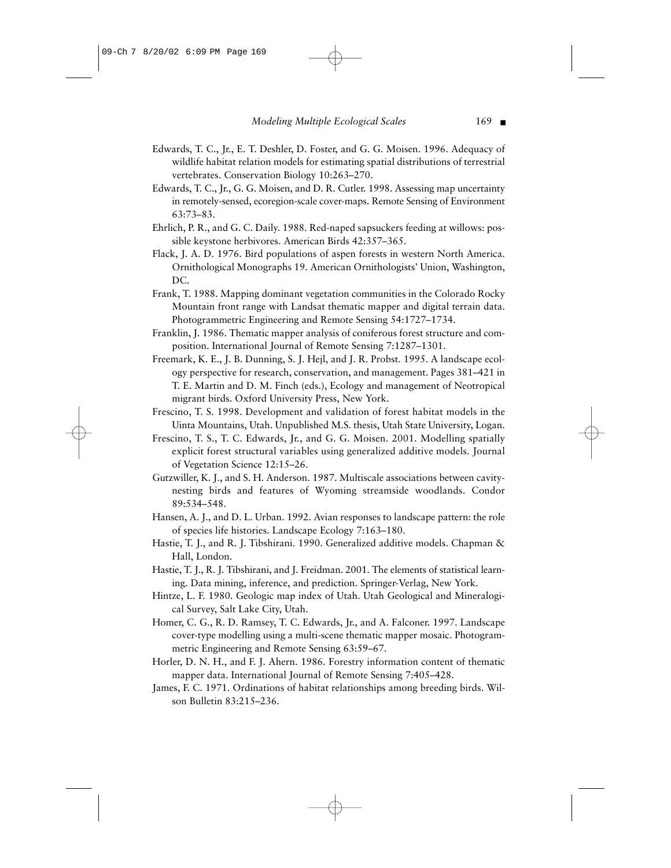#### *Modeling Multiple Ecological Scales* 169 ■

- Edwards, T. C., Jr., E. T. Deshler, D. Foster, and G. G. Moisen. 1996. Adequacy of wildlife habitat relation models for estimating spatial distributions of terrestrial vertebrates. Conservation Biology 10:263–270.
- Edwards, T. C., Jr., G. G. Moisen, and D. R. Cutler. 1998. Assessing map uncertainty in remotely-sensed, ecoregion-scale cover-maps. Remote Sensing of Environment 63:73–83.
- Ehrlich, P. R., and G. C. Daily. 1988. Red-naped sapsuckers feeding at willows: possible keystone herbivores. American Birds 42:357–365.
- Flack, J. A. D. 1976. Bird populations of aspen forests in western North America. Ornithological Monographs 19. American Ornithologists' Union, Washington, DC.
- Frank, T. 1988. Mapping dominant vegetation communities in the Colorado Rocky Mountain front range with Landsat thematic mapper and digital terrain data. Photogrammetric Engineering and Remote Sensing 54:1727–1734.
- Franklin, J. 1986. Thematic mapper analysis of coniferous forest structure and composition. International Journal of Remote Sensing 7:1287–1301.
- Freemark, K. E., J. B. Dunning, S. J. Hejl, and J. R. Probst. 1995. A landscape ecology perspective for research, conservation, and management. Pages 381–421 in T. E. Martin and D. M. Finch (eds.), Ecology and management of Neotropical migrant birds. Oxford University Press, New York.
- Frescino, T. S. 1998. Development and validation of forest habitat models in the Uinta Mountains, Utah. Unpublished M.S. thesis, Utah State University, Logan.
- Frescino, T. S., T. C. Edwards, Jr., and G. G. Moisen. 2001. Modelling spatially explicit forest structural variables using generalized additive models. Journal of Vegetation Science 12:15–26.
- Gutzwiller, K. J., and S. H. Anderson. 1987. Multiscale associations between cavitynesting birds and features of Wyoming streamside woodlands. Condor 89:534–548.
- Hansen, A. J., and D. L. Urban. 1992. Avian responses to landscape pattern: the role of species life histories. Landscape Ecology 7:163–180.
- Hastie, T. J., and R. J. Tibshirani. 1990. Generalized additive models. Chapman & Hall, London.
- Hastie, T. J., R. J. Tibshirani, and J. Freidman. 2001. The elements of statistical learning. Data mining, inference, and prediction. Springer-Verlag, New York.
- Hintze, L. F. 1980. Geologic map index of Utah. Utah Geological and Mineralogical Survey, Salt Lake City, Utah.
- Homer, C. G., R. D. Ramsey, T. C. Edwards, Jr., and A. Falconer. 1997. Landscape cover-type modelling using a multi-scene thematic mapper mosaic. Photogrammetric Engineering and Remote Sensing 63:59–67.
- Horler, D. N. H., and F. J. Ahern. 1986. Forestry information content of thematic mapper data. International Journal of Remote Sensing 7:405–428.
- James, F. C. 1971. Ordinations of habitat relationships among breeding birds. Wilson Bulletin 83:215–236.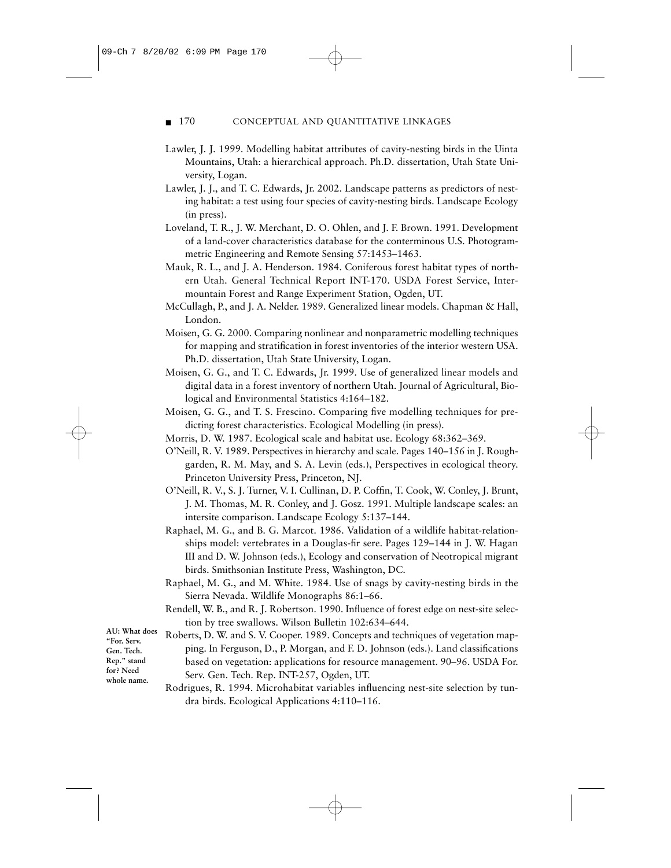#### ■ 170 CONCEPTUAL AND QUANTITATIVE LINKAGES

- Lawler, J. J. 1999. Modelling habitat attributes of cavity-nesting birds in the Uinta Mountains, Utah: a hierarchical approach. Ph.D. dissertation, Utah State University, Logan.
- Lawler, J. J., and T. C. Edwards, Jr. 2002. Landscape patterns as predictors of nesting habitat: a test using four species of cavity-nesting birds. Landscape Ecology (in press).
- Loveland, T. R., J. W. Merchant, D. O. Ohlen, and J. F. Brown. 1991. Development of a land-cover characteristics database for the conterminous U.S. Photogrammetric Engineering and Remote Sensing 57:1453–1463.
- Mauk, R. L., and J. A. Henderson. 1984. Coniferous forest habitat types of northern Utah. General Technical Report INT-170. USDA Forest Service, Intermountain Forest and Range Experiment Station, Ogden, UT.
- McCullagh, P., and J. A. Nelder. 1989. Generalized linear models. Chapman & Hall, London.
- Moisen, G. G. 2000. Comparing nonlinear and nonparametric modelling techniques for mapping and stratification in forest inventories of the interior western USA. Ph.D. dissertation, Utah State University, Logan.
- Moisen, G. G., and T. C. Edwards, Jr. 1999. Use of generalized linear models and digital data in a forest inventory of northern Utah. Journal of Agricultural, Biological and Environmental Statistics 4:164–182.
- Moisen, G. G., and T. S. Frescino. Comparing five modelling techniques for predicting forest characteristics. Ecological Modelling (in press).
- Morris, D. W. 1987. Ecological scale and habitat use. Ecology 68:362–369.
- O'Neill, R. V. 1989. Perspectives in hierarchy and scale. Pages 140–156 in J. Roughgarden, R. M. May, and S. A. Levin (eds.), Perspectives in ecological theory. Princeton University Press, Princeton, NJ.
- O'Neill, R. V., S. J. Turner, V. I. Cullinan, D. P. Coffin, T. Cook, W. Conley, J. Brunt, J. M. Thomas, M. R. Conley, and J. Gosz. 1991. Multiple landscape scales: an intersite comparison. Landscape Ecology 5:137–144.
- Raphael, M. G., and B. G. Marcot. 1986. Validation of a wildlife habitat-relationships model: vertebrates in a Douglas-fir sere. Pages 129–144 in J. W. Hagan III and D. W. Johnson (eds.), Ecology and conservation of Neotropical migrant birds. Smithsonian Institute Press, Washington, DC.
- Raphael, M. G., and M. White. 1984. Use of snags by cavity-nesting birds in the Sierra Nevada. Wildlife Monographs 86:1–66.
- Rendell, W. B., and R. J. Robertson. 1990. Influence of forest edge on nest-site selection by tree swallows. Wilson Bulletin 102:634–644.

**AU: What does "For. Serv. Gen. Tech. Rep." stand for? Need whole name.**

- Roberts, D. W. and S. V. Cooper. 1989. Concepts and techniques of vegetation mapping. In Ferguson, D., P. Morgan, and F. D. Johnson (eds.). Land classifications based on vegetation: applications for resource management. 90–96. USDA For. Serv. Gen. Tech. Rep. INT-257, Ogden, UT.
- Rodrigues, R. 1994. Microhabitat variables influencing nest-site selection by tundra birds. Ecological Applications 4:110–116.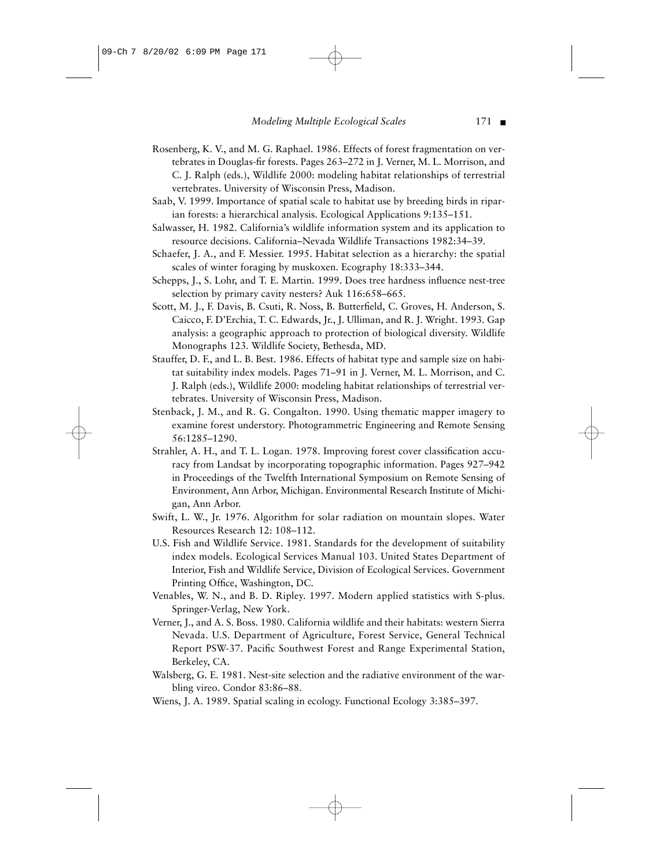#### *Modeling Multiple Ecological Scales* 171 ■

- Rosenberg, K. V., and M. G. Raphael. 1986. Effects of forest fragmentation on vertebrates in Douglas-fir forests. Pages 263–272 in J. Verner, M. L. Morrison, and C. J. Ralph (eds.), Wildlife 2000: modeling habitat relationships of terrestrial vertebrates. University of Wisconsin Press, Madison.
- Saab, V. 1999. Importance of spatial scale to habitat use by breeding birds in riparian forests: a hierarchical analysis. Ecological Applications 9:135–151.
- Salwasser, H. 1982. California's wildlife information system and its application to resource decisions. California–Nevada Wildlife Transactions 1982:34–39.
- Schaefer, J. A., and F. Messier. 1995. Habitat selection as a hierarchy: the spatial scales of winter foraging by muskoxen. Ecography 18:333–344.
- Schepps, J., S. Lohr, and T. E. Martin. 1999. Does tree hardness influence nest-tree selection by primary cavity nesters? Auk 116:658–665.
- Scott, M. J., F. Davis, B. Csuti, R. Noss, B. Butterfield, C. Groves, H. Anderson, S. Caicco, F. D'Erchia, T. C. Edwards, Jr., J. Ulliman, and R. J. Wright. 1993. Gap analysis: a geographic approach to protection of biological diversity. Wildlife Monographs 123. Wildlife Society, Bethesda, MD.
- Stauffer, D. F., and L. B. Best. 1986. Effects of habitat type and sample size on habitat suitability index models. Pages 71–91 in J. Verner, M. L. Morrison, and C. J. Ralph (eds.), Wildlife 2000: modeling habitat relationships of terrestrial vertebrates. University of Wisconsin Press, Madison.
- Stenback, J. M., and R. G. Congalton. 1990. Using thematic mapper imagery to examine forest understory. Photogrammetric Engineering and Remote Sensing 56:1285–1290.
- Strahler, A. H., and T. L. Logan. 1978. Improving forest cover classification accuracy from Landsat by incorporating topographic information. Pages 927–942 in Proceedings of the Twelfth International Symposium on Remote Sensing of Environment, Ann Arbor, Michigan. Environmental Research Institute of Michigan, Ann Arbor.
- Swift, L. W., Jr. 1976. Algorithm for solar radiation on mountain slopes. Water Resources Research 12: 108–112.
- U.S. Fish and Wildlife Service. 1981. Standards for the development of suitability index models. Ecological Services Manual 103. United States Department of Interior, Fish and Wildlife Service, Division of Ecological Services. Government Printing Office, Washington, DC.
- Venables, W. N., and B. D. Ripley. 1997. Modern applied statistics with S-plus. Springer-Verlag, New York.
- Verner, J., and A. S. Boss. 1980. California wildlife and their habitats: western Sierra Nevada. U.S. Department of Agriculture, Forest Service, General Technical Report PSW-37. Pacific Southwest Forest and Range Experimental Station, Berkeley, CA.
- Walsberg, G. E. 1981. Nest-site selection and the radiative environment of the warbling vireo. Condor 83:86–88.

Wiens, J. A. 1989. Spatial scaling in ecology. Functional Ecology 3:385–397.